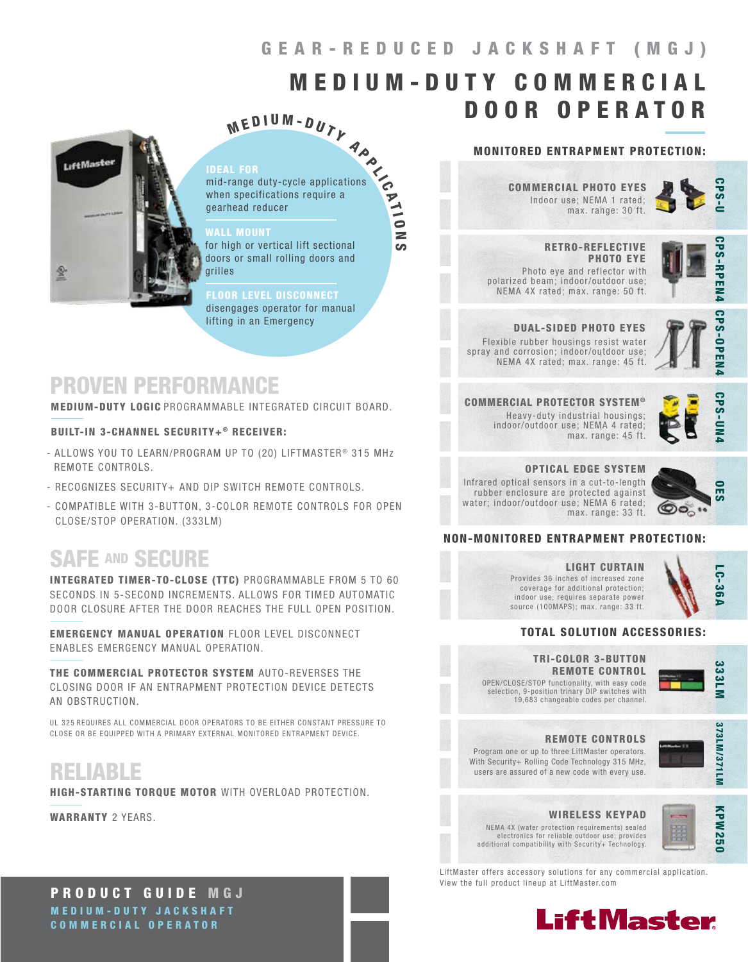# GEAR-REDUCED JACKSHAFT (MGJ)

# M E D I U M - D U T Y C O M M E R C I A L DOOR OPERATOR

# **LiftMaster**

### IDEAL FOR

 $M$  E D I U M - D U T Y<br>
The primaring duty-cycle applications<br>
In specifications require a<br>
head reducer<br>  $\overline{C}$ mid-range duty-cycle applications when specifications require a gearhead reducer

**CO** 

### WALL MOUNT **And the company of the company**

for high or vertical lift sectional doors or small rolling doors and grilles

### LOOR LEVEL DISCONNECT

disengages operator for manual lifting in an Emergency

# PROVEN PERFORMANCE

MEDIUM-DUTY LOGIC PROGRAMMABLE INTEGRATED CIRCUIT BOARD.

### BUILT-IN 3-CHANNEL SECURITY+® RECEIVER:

- ALLOWS YOU TO LEARN/PROGRAM UP TO (20) LIFTMASTER<sup>®</sup> 315 MHz REMOTE CONTROLS.
- RECOGNIZES SECURITY+ AND DIP SWITCH REMOTE CONTROLS.
- COMPATIBLE WITH 3-BUTTON, 3-COLOR REMOTE CONTROLS FOR OPEN CLOSE/STOP OPERATION. (333LM)

# SAFE AND SECURE

INTEGRATED TIMER-TO-CLOSE (TTC) PROGRAMMABLE FROM 5 TO 60 SECONDS IN 5-SECOND INCREMENTS. ALLOWS FOR TIMED AUTOMATIC DOOR CLOSURE AFTER THE DOOR REACHES THE FULL OPEN POSITION.

EMERGENCY MANUAL OPERATION FLOOR LEVEL DISCONNECT ENABLES EMERGENCY MANUAL OPERATION.

THE COMMERCIAL PROTECTOR SYSTEM AUTO-REVERSES THE CLOSING DOOR IF AN ENTRAPMENT PROTECTION DEVICE DETECTS AN OBSTRUCTION.

UL 325 REQUIRES ALL COMMERCIAL DOOR OPERATORS TO BE EITHER CONSTANT PRESSURE TO CLOSE OR BE EQUIPPED WITH A PRIMARY EXTERNAL MONITORED ENTRAPMENT DEVICE.

# RELIABLE

HIGH-STARTING TORQUE MOTOR WITH OVERLOAD PROTECTION.

WARRANTY 2 YEARS.

# MONITORED ENTRAPMENT PROTECTION:

Indoor use; NEMA 1 rated; max. range: 30 ft. COMMERCIAL PHOTO EYES

 RETRO-REFLECTIVE PHOTO EYE Photo eye and reflector with polarized beam; indoor/outdoor use; NEMA 4X rated; max. range: 50 ft.



**PS-RPEN4** 

CPS-OPEN4

### DUAL-SIDED PHOTO EYES Flexible rubber housings resist water spray and corrosion; indoor/outdoor use;

NEMA 4X rated; max. range: 45 ft. COMMERCIAL PROTECTOR SYSTEM ®

Heavy-duty industrial housings; indoor/outdoor use; NEMA 4 rated; max. range: 45 ft.



## OPTICAL EDGE SYSTEM

Infrared optical sensors in a cut-to-length rubber enclosure are protected against water; indoor/outdoor use; NEMA 6 rated; max. range: 33 ft.



### NON-MONITORED ENTRAPMENT PROTECTION:

### LIGHT CURTAIN Provides 36 inches of increased zone coverage for additional protection; indoor use; requires separate power source (100MAPS); max. range: 33 ft.

### TOTAL SOLUTION ACCESSORIES:

OPEN/CLOSE/STOP functionality, with easy code selection, 9-position trinary DIP switches with 19,683 changeable codes per channel. TRI-COLOR 3-BUTTON REMOTE CONTROL



LC-36A

LC-36A



Program one or up to three LiftMaster operators. With Security+ Rolling Code Technology 315 MHz, users are assured of a new code with every use. REMOTE CONTROLS



# WIRELESS KEYPAD

NEMA 4X (water protection requirements) sealed electronics for reliable outdoor use; provides additional compatibility with Security+ Technology.



LiftMaster offers accessory solutions for any commercial application. View the full product lineup at LiftMaster.com



PRODUCT GUIDE MGJ MEDIUM-DUTY JACKSHAFT COMMERCIAL OPERATOR